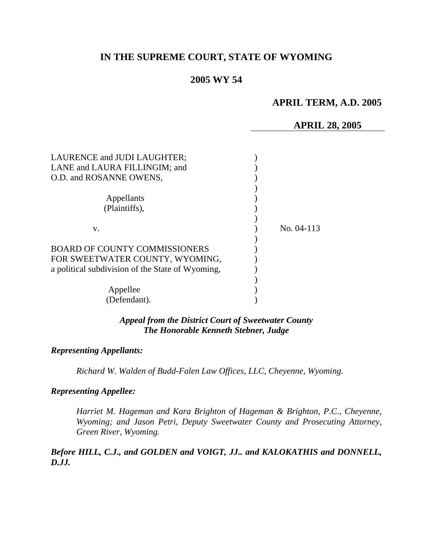# **IN THE SUPREME COURT, STATE OF WYOMING**

# **2005 WY 54**

# **APRIL TERM, A.D. 2005**

## **APRIL 28, 2005**

| LAURENCE and JUDI LAUGHTER;<br>LANE and LAURA FILLINGIM; and<br>O.D. and ROSANNE OWENS, |              |
|-----------------------------------------------------------------------------------------|--------------|
| Appellants<br>(Plaintiffs),                                                             |              |
| v.                                                                                      | No. $04-113$ |
| <b>BOARD OF COUNTY COMMISSIONERS</b><br>FOR SWEETWATER COUNTY, WYOMING,                 |              |
| a political subdivision of the State of Wyoming,<br>Appellee                            |              |
| (Defendant).                                                                            |              |

*Appeal from the District Court of Sweetwater County The Honorable Kenneth Stebner, Judge* 

### *Representing Appellants:*

*Richard W. Walden of Budd-Falen Law Offices, LLC, Cheyenne, Wyoming.* 

### *Representing Appellee:*

*Harriet M. Hageman and Kara Brighton of Hageman & Brighton, P.C., Cheyenne, Wyoming; and Jason Petri, Deputy Sweetwater County and Prosecuting Attorney, Green River, Wyoming.* 

*Before HILL, C.J., and GOLDEN and VOIGT, JJ.. and KALOKATHIS and DONNELL, D.JJ.*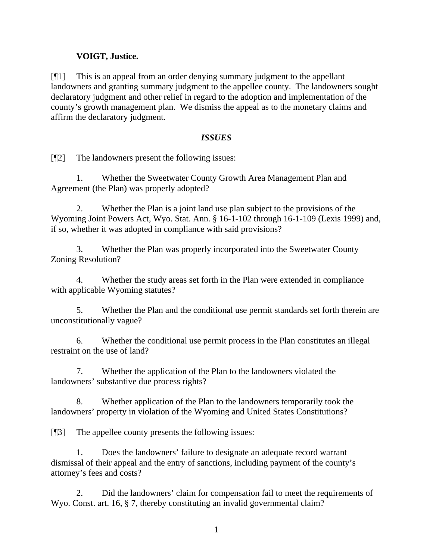# **VOIGT, Justice.**

[¶1] This is an appeal from an order denying summary judgment to the appellant landowners and granting summary judgment to the appellee county. The landowners sought declaratory judgment and other relief in regard to the adoption and implementation of the county's growth management plan. We dismiss the appeal as to the monetary claims and affirm the declaratory judgment.

## *ISSUES*

[¶2] The landowners present the following issues:

1. Whether the Sweetwater County Growth Area Management Plan and Agreement (the Plan) was properly adopted?

2. Whether the Plan is a joint land use plan subject to the provisions of the Wyoming Joint Powers Act, Wyo. Stat. Ann. § 16-1-102 through 16-1-109 (Lexis 1999) and, if so, whether it was adopted in compliance with said provisions?

3. Whether the Plan was properly incorporated into the Sweetwater County Zoning Resolution?

4. Whether the study areas set forth in the Plan were extended in compliance with applicable Wyoming statutes?

5. Whether the Plan and the conditional use permit standards set forth therein are unconstitutionally vague?

6. Whether the conditional use permit process in the Plan constitutes an illegal restraint on the use of land?

7. Whether the application of the Plan to the landowners violated the landowners' substantive due process rights?

8. Whether application of the Plan to the landowners temporarily took the landowners' property in violation of the Wyoming and United States Constitutions?

[¶3] The appellee county presents the following issues:

1. Does the landowners' failure to designate an adequate record warrant dismissal of their appeal and the entry of sanctions, including payment of the county's attorney's fees and costs?

2. Did the landowners' claim for compensation fail to meet the requirements of Wyo. Const. art. 16, § 7, thereby constituting an invalid governmental claim?

1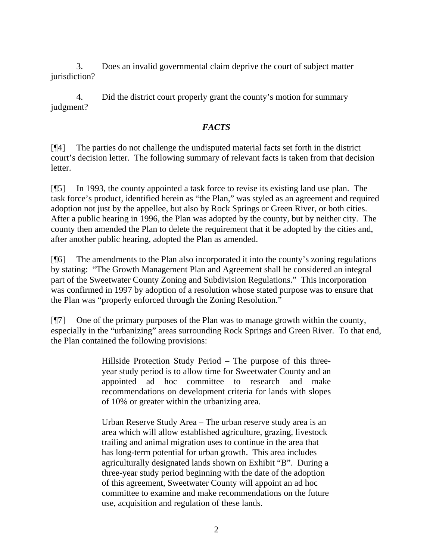3. Does an invalid governmental claim deprive the court of subject matter jurisdiction?

4. Did the district court properly grant the county's motion for summary judgment?

## *FACTS*

[¶4] The parties do not challenge the undisputed material facts set forth in the district court's decision letter. The following summary of relevant facts is taken from that decision letter.

[¶5] In 1993, the county appointed a task force to revise its existing land use plan. The task force's product, identified herein as "the Plan," was styled as an agreement and required adoption not just by the appellee, but also by Rock Springs or Green River, or both cities. After a public hearing in 1996, the Plan was adopted by the county, but by neither city. The county then amended the Plan to delete the requirement that it be adopted by the cities and, after another public hearing, adopted the Plan as amended.

[¶6] The amendments to the Plan also incorporated it into the county's zoning regulations by stating: "The Growth Management Plan and Agreement shall be considered an integral part of the Sweetwater County Zoning and Subdivision Regulations." This incorporation was confirmed in 1997 by adoption of a resolution whose stated purpose was to ensure that the Plan was "properly enforced through the Zoning Resolution."

[¶7] One of the primary purposes of the Plan was to manage growth within the county, especially in the "urbanizing" areas surrounding Rock Springs and Green River. To that end, the Plan contained the following provisions:

> Hillside Protection Study Period – The purpose of this threeyear study period is to allow time for Sweetwater County and an appointed ad hoc committee to research and make recommendations on development criteria for lands with slopes of 10% or greater within the urbanizing area.

> Urban Reserve Study Area – The urban reserve study area is an area which will allow established agriculture, grazing, livestock trailing and animal migration uses to continue in the area that has long-term potential for urban growth. This area includes agriculturally designated lands shown on Exhibit "B". During a three-year study period beginning with the date of the adoption of this agreement, Sweetwater County will appoint an ad hoc committee to examine and make recommendations on the future use, acquisition and regulation of these lands.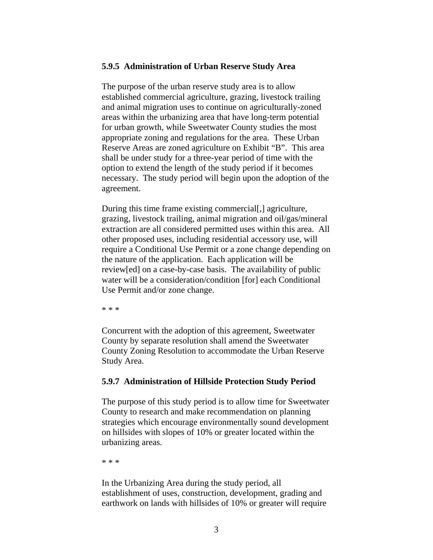#### **5.9.5 Administration of Urban Reserve Study Area**

The purpose of the urban reserve study area is to allow established commercial agriculture, grazing, livestock trailing and animal migration uses to continue on agriculturally-zoned areas within the urbanizing area that have long-term potential for urban growth, while Sweetwater County studies the most appropriate zoning and regulations for the area. These Urban Reserve Areas are zoned agriculture on Exhibit "B". This area shall be under study for a three-year period of time with the option to extend the length of the study period if it becomes necessary. The study period will begin upon the adoption of the agreement.

During this time frame existing commercial[,] agriculture, grazing, livestock trailing, animal migration and oil/gas/mineral extraction are all considered permitted uses within this area. All other proposed uses, including residential accessory use, will require a Conditional Use Permit or a zone change depending on the nature of the application. Each application will be review[ed] on a case-by-case basis. The availability of public water will be a consideration/condition [for] each Conditional Use Permit and/or zone change.

\* \* \*

Concurrent with the adoption of this agreement, Sweetwater County by separate resolution shall amend the Sweetwater County Zoning Resolution to accommodate the Urban Reserve Study Area.

### **5.9.7 Administration of Hillside Protection Study Period**

The purpose of this study period is to allow time for Sweetwater County to research and make recommendation on planning strategies which encourage environmentally sound development on hillsides with slopes of 10% or greater located within the urbanizing areas.

\* \* \*

In the Urbanizing Area during the study period, all establishment of uses, construction, development, grading and earthwork on lands with hillsides of 10% or greater will require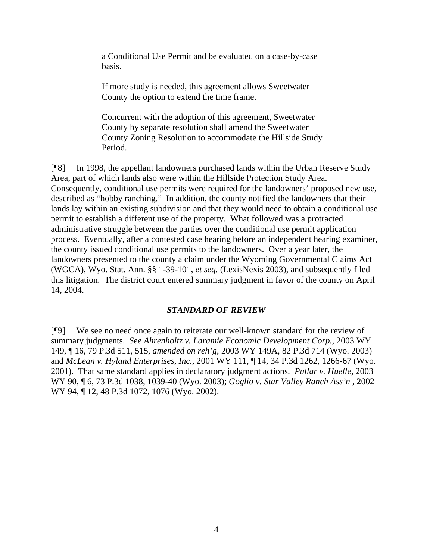a Conditional Use Permit and be evaluated on a case-by-case basis.

If more study is needed, this agreement allows Sweetwater County the option to extend the time frame.

Concurrent with the adoption of this agreement, Sweetwater County by separate resolution shall amend the Sweetwater County Zoning Resolution to accommodate the Hillside Study Period.

[¶8] In 1998, the appellant landowners purchased lands within the Urban Reserve Study Area, part of which lands also were within the Hillside Protection Study Area. Consequently, conditional use permits were required for the landowners' proposed new use, described as "hobby ranching." In addition, the county notified the landowners that their lands lay within an existing subdivision and that they would need to obtain a conditional use permit to establish a different use of the property. What followed was a protracted administrative struggle between the parties over the conditional use permit application process. Eventually, after a contested case hearing before an independent hearing examiner, the county issued conditional use permits to the landowners. Over a year later, the landowners presented to the county a claim under the Wyoming Governmental Claims Act (WGCA), Wyo. Stat. Ann. §§ 1-39-101, *et seq.* (LexisNexis 2003), and subsequently filed this litigation. The district court entered summary judgment in favor of the county on April 14, 2004.

### *STANDARD OF REVIEW*

[¶9] We see no need once again to reiterate our well-known standard for the review of summary judgments. *See Ahrenholtz v. Laramie Economic Development Corp.,* 2003 WY 149, ¶ 16, 79 P.3d 511, 515, *amended on reh'g*, 2003 WY 149A, 82 P.3d 714 (Wyo. 2003) and *McLean v. Hyland Enterprises, Inc.,* 2001 WY 111, ¶ 14, 34 P.3d 1262, 1266-67 (Wyo. 2001). That same standard applies in declaratory judgment actions. *Pullar v. Huelle,* 2003 WY 90, ¶ 6, 73 P.3d 1038, 1039-40 (Wyo. 2003); *Goglio v. Star Valley Ranch Ass'n ,* 2002 WY 94, ¶ 12, 48 P.3d 1072, 1076 (Wyo. 2002).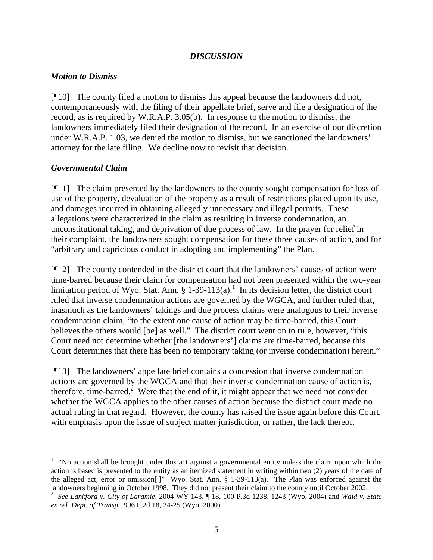## *DISCUSSION*

## *Motion to Dismiss*

[¶10] The county filed a motion to dismiss this appeal because the landowners did not, contemporaneously with the filing of their appellate brief, serve and file a designation of the record, as is required by W.R.A.P. 3.05(b). In response to the motion to dismiss, the landowners immediately filed their designation of the record. In an exercise of our discretion under W.R.A.P. 1.03, we denied the motion to dismiss, but we sanctioned the landowners' attorney for the late filing. We decline now to revisit that decision.

## *Governmental Claim*

[¶11] The claim presented by the landowners to the county sought compensation for loss of use of the property, devaluation of the property as a result of restrictions placed upon its use, and damages incurred in obtaining allegedly unnecessary and illegal permits. These allegations were characterized in the claim as resulting in inverse condemnation, an unconstitutional taking, and deprivation of due process of law. In the prayer for relief in their complaint, the landowners sought compensation for these three causes of action, and for "arbitrary and capricious conduct in adopting and implementing" the Plan.

[¶12] The county contended in the district court that the landowners' causes of action were time-barred because their claim for compensation had not been presented within the two-year limitation period of Wyo. Stat. Ann.  $\S 1-39-113(a)$ .<sup>1</sup> In its decision letter, the district court ruled that inverse condemnation actions are governed by the WGCA, and further ruled that, inasmuch as the landowners' takings and due process claims were analogous to their inverse condemnation claim, "to the extent one cause of action may be time-barred, this Court believes the others would [be] as well." The district court went on to rule, however, "this Court need not determine whether [the landowners'] claims are time-barred, because this Court determines that there has been no temporary taking (or inverse condemnation) herein."

[¶13] The landowners' appellate brief contains a concession that inverse condemnation actions are governed by the WGCA and that their inverse condemnation cause of action is, therefore, time-barred.<sup>2</sup> Were that the end of it, it might appear that we need not consider whether the WGCA applies to the other causes of action because the district court made no actual ruling in that regard. However, the county has raised the issue again before this Court, with emphasis upon the issue of subject matter jurisdiction, or rather, the lack thereof.

 $\overline{a}$  $<sup>1</sup>$  "No action shall be brought under this act against a governmental entity unless the claim upon which the</sup> action is based is presented to the entity as an itemized statement in writing within two (2) years of the date of the alleged act, error or omission[.]" Wyo. Stat. Ann. § 1-39-113(a). The Plan was enforced against the landowners beginning in October 1998. They did not present their claim to the county until October 2002.

<sup>2</sup> *See Lankford v. City of Laramie,* 2004 WY 143, ¶ 18, 100 P.3d 1238, 1243 (Wyo. 2004) and *Waid v. State ex rel. Dept. of Transp.,* 996 P.2d 18, 24-25 (Wyo. 2000).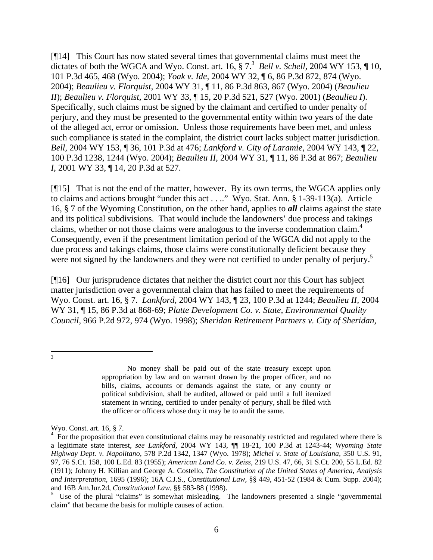[¶14] This Court has now stated several times that governmental claims must meet the dictates of both the WGCA and Wyo. Const. art.  $16, \S 7$ .<sup>3</sup> Bell v. Schell, 2004 WY 153, ¶ 10, 101 P.3d 465, 468 (Wyo. 2004); *Yoak v. Ide,* 2004 WY 32, ¶ 6, 86 P.3d 872, 874 (Wyo. 2004); *Beaulieu v. Florquist,* 2004 WY 31, ¶ 11, 86 P.3d 863, 867 (Wyo. 2004) (*Beaulieu II*); *Beaulieu v. Florquist,* 2001 WY 33, ¶ 15, 20 P.3d 521, 527 (Wyo. 2001) (*Beaulieu I*). Specifically, such claims must be signed by the claimant and certified to under penalty of perjury, and they must be presented to the governmental entity within two years of the date of the alleged act, error or omission. Unless those requirements have been met, and unless such compliance is stated in the complaint, the district court lacks subject matter jurisdiction. *Bell,* 2004 WY 153, ¶ 36, 101 P.3d at 476; *Lankford v. City of Laramie,* 2004 WY 143, ¶ 22, 100 P.3d 1238, 1244 (Wyo. 2004); *Beaulieu II,* 2004 WY 31, ¶ 11, 86 P.3d at 867; *Beaulieu I,* 2001 WY 33, ¶ 14, 20 P.3d at 527.

[¶15] That is not the end of the matter, however. By its own terms, the WGCA applies only to claims and actions brought "under this act . . .." Wyo. Stat. Ann. § 1-39-113(a). Article 16, § 7 of the Wyoming Constitution, on the other hand, applies to *all* claims against the state and its political subdivisions. That would include the landowners' due process and takings claims, whether or not those claims were analogous to the inverse condemnation claim.<sup>4</sup> Consequently, even if the presentment limitation period of the WGCA did not apply to the due process and takings claims, those claims were constitutionally deficient because they were not signed by the landowners and they were not certified to under penalty of perjury.<sup>5</sup>

[¶16] Our jurisprudence dictates that neither the district court nor this Court has subject matter jurisdiction over a governmental claim that has failed to meet the requirements of Wyo. Const. art. 16, § 7. *Lankford,* 2004 WY 143, ¶ 23, 100 P.3d at 1244; *Beaulieu II,* 2004 WY 31, ¶ 15, 86 P.3d at 868-69; *Platte Development Co. v. State, Environmental Quality Council,* 966 P.2d 972, 974 (Wyo. 1998); *Sheridan Retirement Partners v. City of Sheridan,* 

<sup>2</sup><br>3

No money shall be paid out of the state treasury except upon appropriation by law and on warrant drawn by the proper officer, and no bills, claims, accounts or demands against the state, or any county or political subdivision, shall be audited, allowed or paid until a full itemized statement in writing, certified to under penalty of perjury, shall be filed with the officer or officers whose duty it may be to audit the same.

Wyo. Const. art. 16, § 7.<br><sup>4</sup> For the proposition that even constitutional claims may be reasonably restricted and regulated where there is a legitimate state interest, *see Lankford,* 2004 WY 143, ¶¶ 18-21, 100 P.3d at 1243-44; *Wyoming State Highway Dept. v. Napolitano,* 578 P.2d 1342, 1347 (Wyo. 1978); *Michel v. State of Louisiana,* 350 U.S. 91, 97, 76 S.Ct. 158, 100 L.Ed. 83 (1955); *American Land Co. v. Zeiss,* 219 U.S. 47, 66, 31 S.Ct. 200, 55 L.Ed. 82 (1911); Johnny H. Killian and George A. Costello, *The Constitution of the United States of America, Analysis and Interpretation,* 1695 (1996); 16A C.J.S., *Constitutional Law,* §§ 449, 451-52 (1984 & Cum. Supp. 2004); and 16B Am.Jur.2d, *Constitutional Law,* §§ 583-88 (1998).

 $5$  Use of the plural "claims" is somewhat misleading. The landowners presented a single "governmental" claim" that became the basis for multiple causes of action.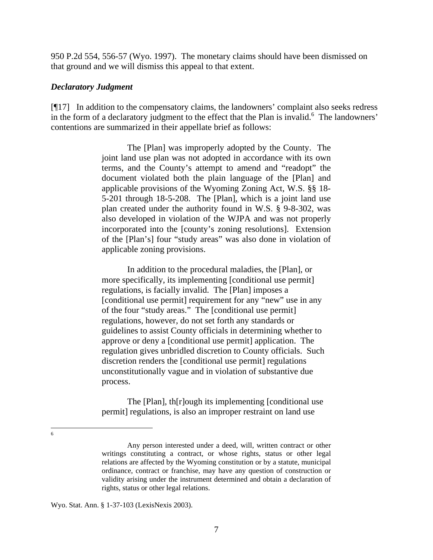950 P.2d 554, 556-57 (Wyo. 1997). The monetary claims should have been dismissed on that ground and we will dismiss this appeal to that extent.

#### *Declaratory Judgment*

[¶17] In addition to the compensatory claims, the landowners' complaint also seeks redress in the form of a declaratory judgment to the effect that the Plan is invalid. $<sup>6</sup>$  The landowners'</sup> contentions are summarized in their appellate brief as follows:

> The [Plan] was improperly adopted by the County. The joint land use plan was not adopted in accordance with its own terms, and the County's attempt to amend and "readopt" the document violated both the plain language of the [Plan] and applicable provisions of the Wyoming Zoning Act, W.S. §§ 18- 5-201 through 18-5-208. The [Plan], which is a joint land use plan created under the authority found in W.S. § 9-8-302, was also developed in violation of the WJPA and was not properly incorporated into the [county's zoning resolutions]. Extension of the [Plan's] four "study areas" was also done in violation of applicable zoning provisions.

In addition to the procedural maladies, the [Plan], or more specifically, its implementing [conditional use permit] regulations, is facially invalid. The [Plan] imposes a [conditional use permit] requirement for any "new" use in any of the four "study areas." The [conditional use permit] regulations, however, do not set forth any standards or guidelines to assist County officials in determining whether to approve or deny a [conditional use permit] application. The regulation gives unbridled discretion to County officials. Such discretion renders the [conditional use permit] regulations unconstitutionally vague and in violation of substantive due process.

The [Plan], th[r]ough its implementing [conditional use permit] regulations, is also an improper restraint on land use

6

Any person interested under a deed, will, written contract or other writings constituting a contract, or whose rights, status or other legal relations are affected by the Wyoming constitution or by a statute, municipal ordinance, contract or franchise, may have any question of construction or validity arising under the instrument determined and obtain a declaration of rights, status or other legal relations.

Wyo. Stat. Ann. § 1-37-103 (LexisNexis 2003).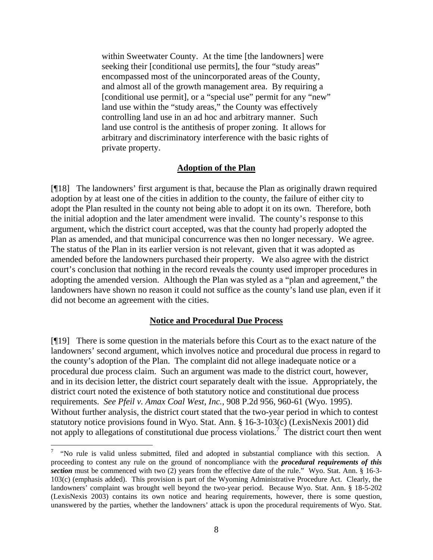within Sweetwater County. At the time [the landowners] were seeking their [conditional use permits], the four "study areas" encompassed most of the unincorporated areas of the County, and almost all of the growth management area. By requiring a [conditional use permit], or a "special use" permit for any "new" land use within the "study areas," the County was effectively controlling land use in an ad hoc and arbitrary manner. Such land use control is the antithesis of proper zoning. It allows for arbitrary and discriminatory interference with the basic rights of private property.

### **Adoption of the Plan**

[¶18] The landowners' first argument is that, because the Plan as originally drawn required adoption by at least one of the cities in addition to the county, the failure of either city to adopt the Plan resulted in the county not being able to adopt it on its own. Therefore, both the initial adoption and the later amendment were invalid. The county's response to this argument, which the district court accepted, was that the county had properly adopted the Plan as amended, and that municipal concurrence was then no longer necessary. We agree. The status of the Plan in its earlier version is not relevant, given that it was adopted as amended before the landowners purchased their property. We also agree with the district court's conclusion that nothing in the record reveals the county used improper procedures in adopting the amended version. Although the Plan was styled as a "plan and agreement," the landowners have shown no reason it could not suffice as the county's land use plan, even if it did not become an agreement with the cities.

#### **Notice and Procedural Due Process**

[¶19] There is some question in the materials before this Court as to the exact nature of the landowners' second argument, which involves notice and procedural due process in regard to the county's adoption of the Plan. The complaint did not allege inadequate notice or a procedural due process claim. Such an argument was made to the district court, however, and in its decision letter, the district court separately dealt with the issue. Appropriately, the district court noted the existence of both statutory notice and constitutional due process requirements. *See Pfeil v. Amax Coal West, Inc.,* 908 P.2d 956, 960-61 (Wyo. 1995). Without further analysis, the district court stated that the two-year period in which to contest statutory notice provisions found in Wyo. Stat. Ann. § 16-3-103(c) (LexisNexis 2001) did not apply to allegations of constitutional due process violations.<sup>7</sup> The district court then went

<sup>7</sup> "No rule is valid unless submitted, filed and adopted in substantial compliance with this section. A proceeding to contest any rule on the ground of noncompliance with the *procedural requirements of this* **section** must be commenced with two (2) years from the effective date of the rule." Wyo. Stat. Ann. § 16-3-103(c) (emphasis added). This provision is part of the Wyoming Administrative Procedure Act. Clearly, the landowners' complaint was brought well beyond the two-year period. Because Wyo. Stat. Ann. § 18-5-202 (LexisNexis 2003) contains its own notice and hearing requirements, however, there is some question, unanswered by the parties, whether the landowners' attack is upon the procedural requirements of Wyo. Stat.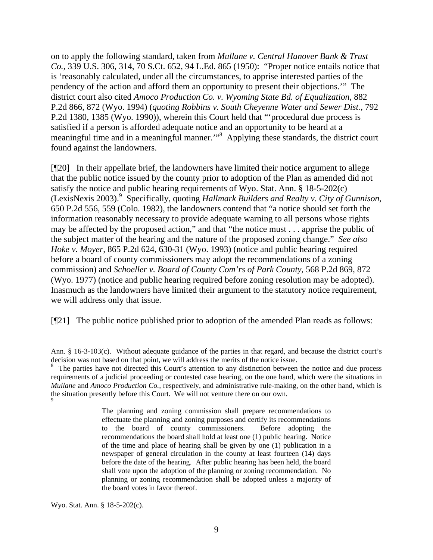on to apply the following standard, taken from *Mullane v. Central Hanover Bank & Trust Co.,* 339 U.S. 306, 314, 70 S.Ct. 652, 94 L.Ed. 865 (1950): "Proper notice entails notice that is 'reasonably calculated, under all the circumstances, to apprise interested parties of the pendency of the action and afford them an opportunity to present their objections.'" The district court also cited *Amoco Production Co. v. Wyoming State Bd. of Equalization,* 882 P.2d 866, 872 (Wyo. 1994) (*quoting Robbins v. South Cheyenne Water and Sewer Dist.*, 792 P.2d 1380, 1385 (Wyo. 1990)), wherein this Court held that "'procedural due process is satisfied if a person is afforded adequate notice and an opportunity to be heard at a meaningful time and in a meaningful manner."<sup>8</sup> Applying these standards, the district court found against the landowners.

[¶20] In their appellate brief, the landowners have limited their notice argument to allege that the public notice issued by the county prior to adoption of the Plan as amended did not satisfy the notice and public hearing requirements of Wyo. Stat. Ann. § 18-5-202(c) (LexisNexis 2003).<sup>9</sup> Specifically, quoting *Hallmark Builders and Realty v. City of Gunnison,* 650 P.2d 556, 559 (Colo. 1982), the landowners contend that "a notice should set forth the information reasonably necessary to provide adequate warning to all persons whose rights may be affected by the proposed action," and that "the notice must . . . apprise the public of the subject matter of the hearing and the nature of the proposed zoning change." *See also Hoke v. Moyer,* 865 P.2d 624, 630-31 (Wyo. 1993) (notice and public hearing required before a board of county commissioners may adopt the recommendations of a zoning commission) and *Schoeller v. Board of County Com'rs of Park County,* 568 P.2d 869, 872 (Wyo. 1977) (notice and public hearing required before zoning resolution may be adopted). Inasmuch as the landowners have limited their argument to the statutory notice requirement, we will address only that issue.

[¶21] The public notice published prior to adoption of the amended Plan reads as follows:

The planning and zoning commission shall prepare recommendations to effectuate the planning and zoning purposes and certify its recommendations to the board of county commissioners. Before adopting the recommendations the board shall hold at least one (1) public hearing. Notice of the time and place of hearing shall be given by one (1) publication in a newspaper of general circulation in the county at least fourteen (14) days before the date of the hearing. After public hearing has been held, the board shall vote upon the adoption of the planning or zoning recommendation. No planning or zoning recommendation shall be adopted unless a majority of the board votes in favor thereof.

Wyo. Stat. Ann. § 18-5-202(c).

 $\overline{a}$ 

Ann. § 16-3-103(c). Without adequate guidance of the parties in that regard, and because the district court's decision was not based on that point, we will address the merits of the notice issue.

<sup>&</sup>lt;sup>8</sup> The parties have not directed this Court's attention to any distinction between the notice and due process requirements of a judicial proceeding or contested case hearing, on the one hand, which were the situations in *Mullane* and *Amoco Production Co.,* respectively, and administrative rule-making, on the other hand, which is the situation presently before this Court. We will not venture there on our own. <sup>9</sup>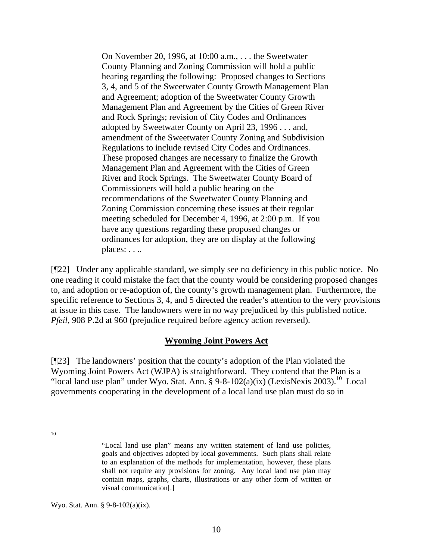On November 20, 1996, at 10:00 a.m., . . . the Sweetwater County Planning and Zoning Commission will hold a public hearing regarding the following: Proposed changes to Sections 3, 4, and 5 of the Sweetwater County Growth Management Plan and Agreement; adoption of the Sweetwater County Growth Management Plan and Agreement by the Cities of Green River and Rock Springs; revision of City Codes and Ordinances adopted by Sweetwater County on April 23, 1996 . . . and, amendment of the Sweetwater County Zoning and Subdivision Regulations to include revised City Codes and Ordinances. These proposed changes are necessary to finalize the Growth Management Plan and Agreement with the Cities of Green River and Rock Springs. The Sweetwater County Board of Commissioners will hold a public hearing on the recommendations of the Sweetwater County Planning and Zoning Commission concerning these issues at their regular meeting scheduled for December 4, 1996, at 2:00 p.m. If you have any questions regarding these proposed changes or ordinances for adoption, they are on display at the following places: . . ..

[¶22] Under any applicable standard, we simply see no deficiency in this public notice. No one reading it could mistake the fact that the county would be considering proposed changes to, and adoption or re-adoption of, the county's growth management plan. Furthermore, the specific reference to Sections 3, 4, and 5 directed the reader's attention to the very provisions at issue in this case. The landowners were in no way prejudiced by this published notice. *Pfeil,* 908 P.2d at 960 (prejudice required before agency action reversed).

### **Wyoming Joint Powers Act**

[¶23] The landowners' position that the county's adoption of the Plan violated the Wyoming Joint Powers Act (WJPA) is straightforward. They contend that the Plan is a "local land use plan" under Wyo. Stat. Ann. §  $9-8-102(a)(ix)$  (LexisNexis 2003).<sup>10</sup> Local governments cooperating in the development of a local land use plan must do so in

 $\frac{1}{10}$ 

Wyo. Stat. Ann. § 9-8-102(a)(ix).

<sup>&</sup>quot;Local land use plan" means any written statement of land use policies, goals and objectives adopted by local governments. Such plans shall relate to an explanation of the methods for implementation, however, these plans shall not require any provisions for zoning. Any local land use plan may contain maps, graphs, charts, illustrations or any other form of written or visual communication[.]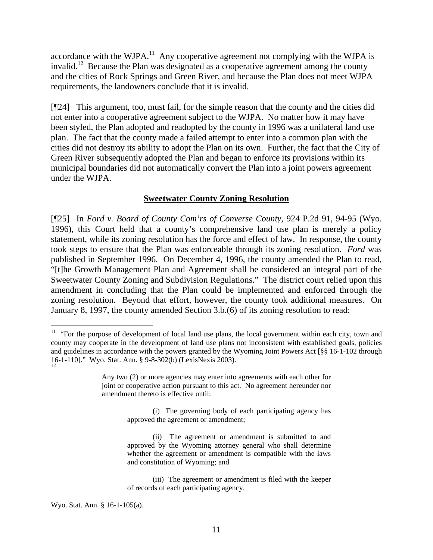accordance with the WJPA.<sup>11</sup> Any cooperative agreement not complying with the WJPA is invalid.<sup>12</sup> Because the Plan was designated as a cooperative agreement among the county and the cities of Rock Springs and Green River, and because the Plan does not meet WJPA requirements, the landowners conclude that it is invalid.

[¶24] This argument, too, must fail, for the simple reason that the county and the cities did not enter into a cooperative agreement subject to the WJPA. No matter how it may have been styled, the Plan adopted and readopted by the county in 1996 was a unilateral land use plan. The fact that the county made a failed attempt to enter into a common plan with the cities did not destroy its ability to adopt the Plan on its own. Further, the fact that the City of Green River subsequently adopted the Plan and began to enforce its provisions within its municipal boundaries did not automatically convert the Plan into a joint powers agreement under the WJPA.

#### **Sweetwater County Zoning Resolution**

[¶25] In *Ford v. Board of County Com'rs of Converse County,* 924 P.2d 91, 94-95 (Wyo. 1996), this Court held that a county's comprehensive land use plan is merely a policy statement, while its zoning resolution has the force and effect of law. In response, the county took steps to ensure that the Plan was enforceable through its zoning resolution. *Ford* was published in September 1996. On December 4, 1996, the county amended the Plan to read, "[t]he Growth Management Plan and Agreement shall be considered an integral part of the Sweetwater County Zoning and Subdivision Regulations." The district court relied upon this amendment in concluding that the Plan could be implemented and enforced through the zoning resolution. Beyond that effort, however, the county took additional measures. On January 8, 1997, the county amended Section 3.b.(6) of its zoning resolution to read:

<sup>&</sup>lt;sup>11</sup> "For the purpose of development of local land use plans, the local government within each city, town and county may cooperate in the development of land use plans not inconsistent with established goals, policies and guidelines in accordance with the powers granted by the Wyoming Joint Powers Act [§§ 16-1-102 through 16-1-110]." Wyo. Stat. Ann. § 9-8-302(b) (LexisNexis 2003). 12

Any two (2) or more agencies may enter into agreements with each other for joint or cooperative action pursuant to this act. No agreement hereunder nor amendment thereto is effective until:

<sup>(</sup>i) The governing body of each participating agency has approved the agreement or amendment;

<sup>(</sup>ii) The agreement or amendment is submitted to and approved by the Wyoming attorney general who shall determine whether the agreement or amendment is compatible with the laws and constitution of Wyoming; and

<sup>(</sup>iii) The agreement or amendment is filed with the keeper of records of each participating agency.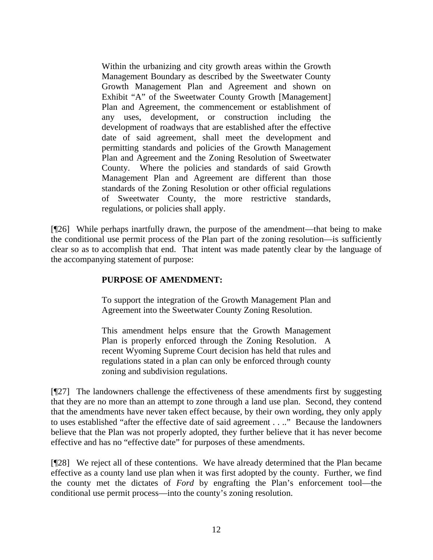Within the urbanizing and city growth areas within the Growth Management Boundary as described by the Sweetwater County Growth Management Plan and Agreement and shown on Exhibit "A" of the Sweetwater County Growth [Management] Plan and Agreement, the commencement or establishment of any uses, development, or construction including the development of roadways that are established after the effective date of said agreement, shall meet the development and permitting standards and policies of the Growth Management Plan and Agreement and the Zoning Resolution of Sweetwater County. Where the policies and standards of said Growth Management Plan and Agreement are different than those standards of the Zoning Resolution or other official regulations of Sweetwater County, the more restrictive standards, regulations, or policies shall apply.

[¶26] While perhaps inartfully drawn, the purpose of the amendment—that being to make the conditional use permit process of the Plan part of the zoning resolution—is sufficiently clear so as to accomplish that end. That intent was made patently clear by the language of the accompanying statement of purpose:

# **PURPOSE OF AMENDMENT:**

To support the integration of the Growth Management Plan and Agreement into the Sweetwater County Zoning Resolution.

This amendment helps ensure that the Growth Management Plan is properly enforced through the Zoning Resolution. A recent Wyoming Supreme Court decision has held that rules and regulations stated in a plan can only be enforced through county zoning and subdivision regulations.

[¶27] The landowners challenge the effectiveness of these amendments first by suggesting that they are no more than an attempt to zone through a land use plan. Second, they contend that the amendments have never taken effect because, by their own wording, they only apply to uses established "after the effective date of said agreement . . .." Because the landowners believe that the Plan was not properly adopted, they further believe that it has never become effective and has no "effective date" for purposes of these amendments.

[¶28] We reject all of these contentions. We have already determined that the Plan became effective as a county land use plan when it was first adopted by the county. Further, we find the county met the dictates of *Ford* by engrafting the Plan's enforcement tool—the conditional use permit process—into the county's zoning resolution.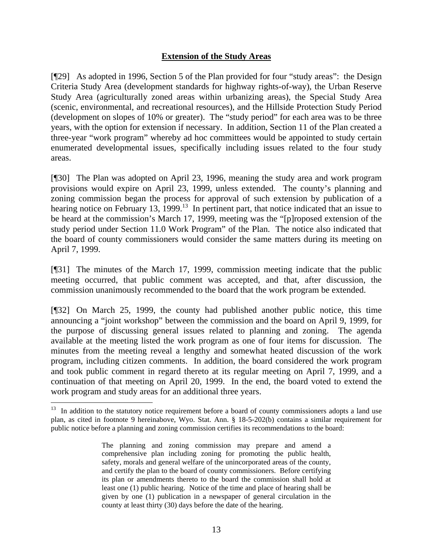## **Extension of the Study Areas**

[¶29] As adopted in 1996, Section 5 of the Plan provided for four "study areas": the Design Criteria Study Area (development standards for highway rights-of-way), the Urban Reserve Study Area (agriculturally zoned areas within urbanizing areas), the Special Study Area (scenic, environmental, and recreational resources), and the Hillside Protection Study Period (development on slopes of 10% or greater). The "study period" for each area was to be three years, with the option for extension if necessary. In addition, Section 11 of the Plan created a three-year "work program" whereby ad hoc committees would be appointed to study certain enumerated developmental issues, specifically including issues related to the four study areas.

[¶30] The Plan was adopted on April 23, 1996, meaning the study area and work program provisions would expire on April 23, 1999, unless extended. The county's planning and zoning commission began the process for approval of such extension by publication of a hearing notice on February 13, 1999.<sup>13</sup> In pertinent part, that notice indicated that an issue to be heard at the commission's March 17, 1999, meeting was the "[p]roposed extension of the study period under Section 11.0 Work Program" of the Plan. The notice also indicated that the board of county commissioners would consider the same matters during its meeting on April 7, 1999.

[¶31] The minutes of the March 17, 1999, commission meeting indicate that the public meeting occurred, that public comment was accepted, and that, after discussion, the commission unanimously recommended to the board that the work program be extended.

[¶32] On March 25, 1999, the county had published another public notice, this time announcing a "joint workshop" between the commission and the board on April 9, 1999, for the purpose of discussing general issues related to planning and zoning. The agenda available at the meeting listed the work program as one of four items for discussion. The minutes from the meeting reveal a lengthy and somewhat heated discussion of the work program, including citizen comments. In addition, the board considered the work program and took public comment in regard thereto at its regular meeting on April 7, 1999, and a continuation of that meeting on April 20, 1999. In the end, the board voted to extend the work program and study areas for an additional three years.

 $\overline{a}$ 

 $13$  In addition to the statutory notice requirement before a board of county commissioners adopts a land use plan, as cited in footnote 9 hereinabove, Wyo. Stat. Ann. § 18-5-202(b) contains a similar requirement for public notice before a planning and zoning commission certifies its recommendations to the board:

The planning and zoning commission may prepare and amend a comprehensive plan including zoning for promoting the public health, safety, morals and general welfare of the unincorporated areas of the county, and certify the plan to the board of county commissioners. Before certifying its plan or amendments thereto to the board the commission shall hold at least one (1) public hearing. Notice of the time and place of hearing shall be given by one (1) publication in a newspaper of general circulation in the county at least thirty (30) days before the date of the hearing.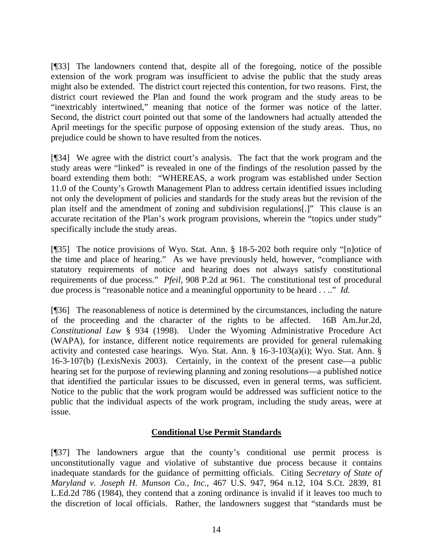[¶33] The landowners contend that, despite all of the foregoing, notice of the possible extension of the work program was insufficient to advise the public that the study areas might also be extended. The district court rejected this contention, for two reasons. First, the district court reviewed the Plan and found the work program and the study areas to be "inextricably intertwined," meaning that notice of the former was notice of the latter. Second, the district court pointed out that some of the landowners had actually attended the April meetings for the specific purpose of opposing extension of the study areas. Thus, no prejudice could be shown to have resulted from the notices.

[¶34] We agree with the district court's analysis. The fact that the work program and the study areas were "linked" is revealed in one of the findings of the resolution passed by the board extending them both: "WHEREAS, a work program was established under Section 11.0 of the County's Growth Management Plan to address certain identified issues including not only the development of policies and standards for the study areas but the revision of the plan itself and the amendment of zoning and subdivision regulations[.]" This clause is an accurate recitation of the Plan's work program provisions, wherein the "topics under study" specifically include the study areas.

[¶35] The notice provisions of Wyo. Stat. Ann. § 18-5-202 both require only "[n]otice of the time and place of hearing." As we have previously held, however, "compliance with statutory requirements of notice and hearing does not always satisfy constitutional requirements of due process." *Pfeil,* 908 P.2d at 961. The constitutional test of procedural due process is "reasonable notice and a meaningful opportunity to be heard . . .." *Id.*

[¶36] The reasonableness of notice is determined by the circumstances, including the nature of the proceeding and the character of the rights to be affected. 16B Am.Jur.2d, *Constitutional Law* § 934 (1998). Under the Wyoming Administrative Procedure Act (WAPA), for instance, different notice requirements are provided for general rulemaking activity and contested case hearings. Wyo. Stat. Ann. § 16-3-103(a)(i); Wyo. Stat. Ann. § 16-3-107(b) (LexisNexis 2003). Certainly, in the context of the present case—a public hearing set for the purpose of reviewing planning and zoning resolutions—a published notice that identified the particular issues to be discussed, even in general terms, was sufficient. Notice to the public that the work program would be addressed was sufficient notice to the public that the individual aspects of the work program, including the study areas, were at issue.

## **Conditional Use Permit Standards**

[¶37] The landowners argue that the county's conditional use permit process is unconstitutionally vague and violative of substantive due process because it contains inadequate standards for the guidance of permitting officials. Citing *Secretary of State of Maryland v. Joseph H. Munson Co., Inc.,* 467 U.S. 947, 964 n.12, 104 S.Ct. 2839, 81 L.Ed.2d 786 (1984), they contend that a zoning ordinance is invalid if it leaves too much to the discretion of local officials. Rather, the landowners suggest that "standards must be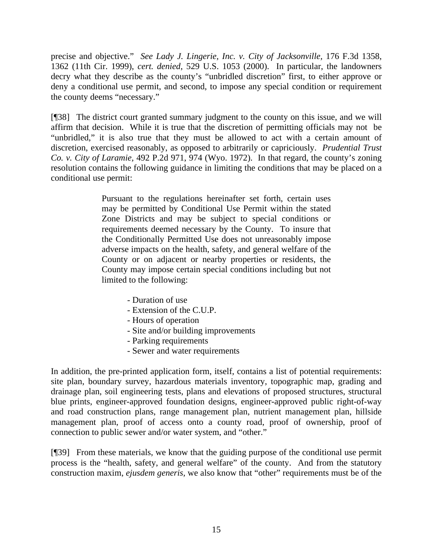precise and objective." *See Lady J. Lingerie, Inc. v. City of Jacksonville,* 176 F.3d 1358, 1362 (11th Cir. 1999), *cert. denied*, 529 U.S. 1053 (2000). In particular, the landowners decry what they describe as the county's "unbridled discretion" first, to either approve or deny a conditional use permit, and second, to impose any special condition or requirement the county deems "necessary."

[¶38] The district court granted summary judgment to the county on this issue, and we will affirm that decision. While it is true that the discretion of permitting officials may not be "unbridled," it is also true that they must be allowed to act with a certain amount of discretion, exercised reasonably, as opposed to arbitrarily or capriciously. *Prudential Trust Co. v. City of Laramie,* 492 P.2d 971, 974 (Wyo. 1972). In that regard, the county's zoning resolution contains the following guidance in limiting the conditions that may be placed on a conditional use permit:

> Pursuant to the regulations hereinafter set forth, certain uses may be permitted by Conditional Use Permit within the stated Zone Districts and may be subject to special conditions or requirements deemed necessary by the County. To insure that the Conditionally Permitted Use does not unreasonably impose adverse impacts on the health, safety, and general welfare of the County or on adjacent or nearby properties or residents, the County may impose certain special conditions including but not limited to the following:

- Duration of use
- Extension of the C.U.P.
- Hours of operation
- Site and/or building improvements
- Parking requirements
- Sewer and water requirements

In addition, the pre-printed application form, itself, contains a list of potential requirements: site plan, boundary survey, hazardous materials inventory, topographic map, grading and drainage plan, soil engineering tests, plans and elevations of proposed structures, structural blue prints, engineer-approved foundation designs, engineer-approved public right-of-way and road construction plans, range management plan, nutrient management plan, hillside management plan, proof of access onto a county road, proof of ownership, proof of connection to public sewer and/or water system, and "other."

[¶39] From these materials, we know that the guiding purpose of the conditional use permit process is the "health, safety, and general welfare" of the county. And from the statutory construction maxim, *ejusdem generis,* we also know that "other" requirements must be of the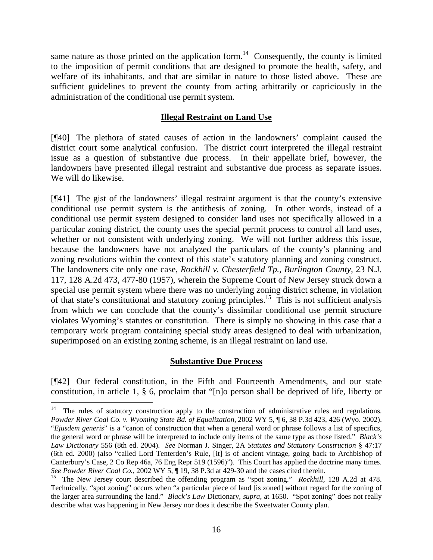same nature as those printed on the application form.<sup>14</sup> Consequently, the county is limited to the imposition of permit conditions that are designed to promote the health, safety, and welfare of its inhabitants, and that are similar in nature to those listed above. These are sufficient guidelines to prevent the county from acting arbitrarily or capriciously in the administration of the conditional use permit system.

## **Illegal Restraint on Land Use**

[¶40] The plethora of stated causes of action in the landowners' complaint caused the district court some analytical confusion. The district court interpreted the illegal restraint issue as a question of substantive due process. In their appellate brief, however, the landowners have presented illegal restraint and substantive due process as separate issues. We will do likewise.

[¶41] The gist of the landowners' illegal restraint argument is that the county's extensive conditional use permit system is the antithesis of zoning. In other words, instead of a conditional use permit system designed to consider land uses not specifically allowed in a particular zoning district, the county uses the special permit process to control all land uses, whether or not consistent with underlying zoning. We will not further address this issue, because the landowners have not analyzed the particulars of the county's planning and zoning resolutions within the context of this state's statutory planning and zoning construct. The landowners cite only one case, *Rockhill v. Chesterfield Tp., Burlington County,* 23 N.J. 117, 128 A.2d 473, 477-80 (1957), wherein the Supreme Court of New Jersey struck down a special use permit system where there was no underlying zoning district scheme, in violation of that state's constitutional and statutory zoning principles.15 This is not sufficient analysis from which we can conclude that the county's dissimilar conditional use permit structure violates Wyoming's statutes or constitution. There is simply no showing in this case that a temporary work program containing special study areas designed to deal with urbanization, superimposed on an existing zoning scheme, is an illegal restraint on land use.

## **Substantive Due Process**

[¶42] Our federal constitution, in the Fifth and Fourteenth Amendments, and our state constitution, in article 1, § 6, proclaim that "[n]o person shall be deprived of life, liberty or

<sup>14</sup> The rules of statutory construction apply to the construction of administrative rules and regulations. *Powder River Coal Co. v. Wyoming State Bd. of Equalization,* 2002 WY 5, ¶ 6, 38 P.3d 423, 426 (Wyo. 2002). "*Ejusdem generis*" is a "canon of construction that when a general word or phrase follows a list of specifics, the general word or phrase will be interpreted to include only items of the same type as those listed." *Black's Law Dictionary* 556 (8th ed. 2004). *See* Norman J. Singer, 2A *Statutes and Statutory Construction* § 47:17 (6th ed. 2000) (also "called Lord Tenterden's Rule, [it] is of ancient vintage, going back to Archbishop of Canterbury's Case, 2 Co Rep 46a, 76 Eng Repr 519 (1596)"). This Court has applied the doctrine many times.<br>See Powder River Coal Co., 2002 WY 5, ¶ 19, 38 P.3d at 429-30 and the cases cited therein.

<sup>&</sup>lt;sup>15</sup> The New Jersey court described the offending program as "spot zoning." *Rockhill*, 128 A.2d at 478. Technically, "spot zoning" occurs when "a particular piece of land [is zoned] without regard for the zoning of the larger area surrounding the land." *Black's Law* Dictionary, *supra*, at 1650. "Spot zoning" does not really describe what was happening in New Jersey nor does it describe the Sweetwater County plan.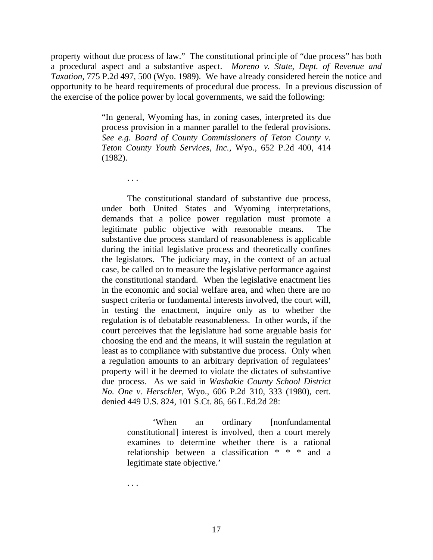property without due process of law." The constitutional principle of "due process" has both a procedural aspect and a substantive aspect. *Moreno v. State, Dept. of Revenue and Taxation,* 775 P.2d 497, 500 (Wyo. 1989). We have already considered herein the notice and opportunity to be heard requirements of procedural due process. In a previous discussion of the exercise of the police power by local governments, we said the following:

> "In general, Wyoming has, in zoning cases, interpreted its due process provision in a manner parallel to the federal provisions. *See e.g. Board of County Commissioners of Teton County v. Teton County Youth Services, Inc.,* Wyo., 652 P.2d 400, 414 (1982).

> The constitutional standard of substantive due process, under both United States and Wyoming interpretations, demands that a police power regulation must promote a legitimate public objective with reasonable means. The substantive due process standard of reasonableness is applicable during the initial legislative process and theoretically confines the legislators. The judiciary may, in the context of an actual case, be called on to measure the legislative performance against the constitutional standard. When the legislative enactment lies in the economic and social welfare area, and when there are no suspect criteria or fundamental interests involved, the court will, in testing the enactment, inquire only as to whether the regulation is of debatable reasonableness. In other words, if the court perceives that the legislature had some arguable basis for choosing the end and the means, it will sustain the regulation at least as to compliance with substantive due process. Only when a regulation amounts to an arbitrary deprivation of regulatees' property will it be deemed to violate the dictates of substantive due process. As we said in *Washakie County School District No. One v. Herschler,* Wyo., 606 P.2d 310, 333 (1980), cert. denied 449 U.S. 824, 101 S.Ct. 86, 66 L.Ed.2d 28:

> > 'When an ordinary [nonfundamental constitutional] interest is involved, then a court merely examines to determine whether there is a rational relationship between a classification \* \* \* and a legitimate state objective.'

. . .

. . .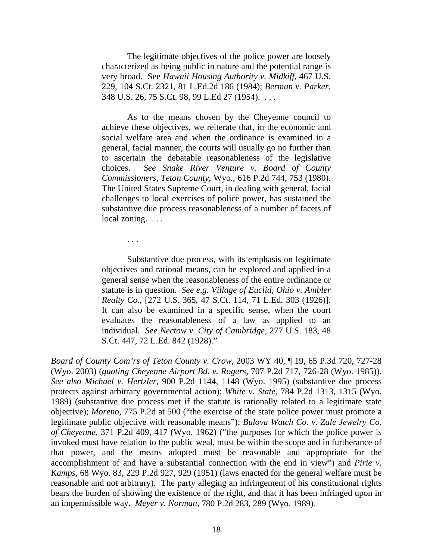The legitimate objectives of the police power are loosely characterized as being public in nature and the potential range is very broad. See *Hawaii Housing Authority v. Midkiff,* 467 U.S. 229, 104 S.Ct. 2321, 81 L.Ed.2d 186 (1984); *Berman v. Parker,* 348 U.S. 26, 75 S.Ct. 98, 99 L.Ed 27 (1954). . . .

As to the means chosen by the Cheyenne council to achieve these objectives, we reiterate that, in the economic and social welfare area and when the ordinance is examined in a general, facial manner, the courts will usually go no further than to ascertain the debatable reasonableness of the legislative choices. *See Snake River Venture v. Board of County Commissioners, Teton County,* Wyo., 616 P.2d 744, 753 (1980). The United States Supreme Court, in dealing with general, facial challenges to local exercises of police power, has sustained the substantive due process reasonableness of a number of facets of local zoning. . . .

Substantive due process, with its emphasis on legitimate objectives and rational means, can be explored and applied in a general sense when the reasonableness of the entire ordinance or statute is in question. *See e.g. Village of Euclid, Ohio v. Ambler Realty Co.,* [272 U.S. 365, 47 S.Ct. 114, 71 L.Ed. 303 (1926)]. It can also be examined in a specific sense, when the court evaluates the reasonableness of a law as applied to an individual. *See Nectow v. City of Cambridge,* 277 U.S. 183, 48 S.Ct. 447, 72 L.Ed. 842 (1928)."

. . .

*Board of County Com'rs of Teton County v. Crow,* 2003 WY 40, ¶ 19, 65 P.3d 720, 727-28 (Wyo. 2003) (*quoting Cheyenne Airport Bd. v. Rogers,* 707 P.2d 717, 726-28 (Wyo. 1985)). *See also Michael v. Hertzler,* 900 P.2d 1144, 1148 (Wyo. 1995) (substantive due process protects against arbitrary governmental action); *White v. State,* 784 P.2d 1313, 1315 (Wyo. 1989) (substantive due process met if the statute is rationally related to a legitimate state objective); *Moreno,* 775 P.2d at 500 ("the exercise of the state police power must promote a legitimate public objective with reasonable means"); *Bulova Watch Co. v. Zale Jewelry Co. of Cheyenne,* 371 P.2d 409, 417 (Wyo. 1962) ("the purposes for which the police power is invoked must have relation to the public weal, must be within the scope and in furtherance of that power, and the means adopted must be reasonable and appropriate for the accomplishment of and have a substantial connection with the end in view") and *Pirie v. Kamps,* 68 Wyo. 83, 229 P.2d 927, 929 (1951) (laws enacted for the general welfare must be reasonable and not arbitrary). The party alleging an infringement of his constitutional rights bears the burden of showing the existence of the right, and that it has been infringed upon in an impermissible way. *Meyer v. Norman,* 780 P.2d 283, 289 (Wyo. 1989).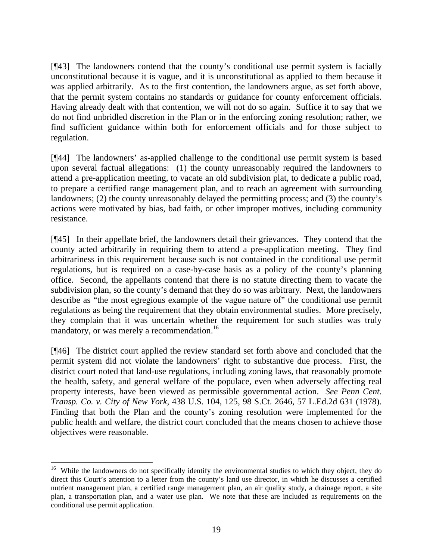[¶43] The landowners contend that the county's conditional use permit system is facially unconstitutional because it is vague, and it is unconstitutional as applied to them because it was applied arbitrarily. As to the first contention, the landowners argue, as set forth above, that the permit system contains no standards or guidance for county enforcement officials. Having already dealt with that contention, we will not do so again. Suffice it to say that we do not find unbridled discretion in the Plan or in the enforcing zoning resolution; rather, we find sufficient guidance within both for enforcement officials and for those subject to regulation.

[¶44] The landowners' as-applied challenge to the conditional use permit system is based upon several factual allegations: (1) the county unreasonably required the landowners to attend a pre-application meeting, to vacate an old subdivision plat, to dedicate a public road, to prepare a certified range management plan, and to reach an agreement with surrounding landowners; (2) the county unreasonably delayed the permitting process; and (3) the county's actions were motivated by bias, bad faith, or other improper motives, including community resistance.

[¶45] In their appellate brief, the landowners detail their grievances. They contend that the county acted arbitrarily in requiring them to attend a pre-application meeting. They find arbitrariness in this requirement because such is not contained in the conditional use permit regulations, but is required on a case-by-case basis as a policy of the county's planning office. Second, the appellants contend that there is no statute directing them to vacate the subdivision plan, so the county's demand that they do so was arbitrary. Next, the landowners describe as "the most egregious example of the vague nature of" the conditional use permit regulations as being the requirement that they obtain environmental studies. More precisely, they complain that it was uncertain whether the requirement for such studies was truly mandatory, or was merely a recommendation.<sup>16</sup>

[¶46] The district court applied the review standard set forth above and concluded that the permit system did not violate the landowners' right to substantive due process. First, the district court noted that land-use regulations, including zoning laws, that reasonably promote the health, safety, and general welfare of the populace, even when adversely affecting real property interests, have been viewed as permissible governmental action. *See Penn Cent. Transp. Co. v. City of New York,* 438 U.S. 104, 125, 98 S.Ct. 2646, 57 L.Ed.2d 631 (1978). Finding that both the Plan and the county's zoning resolution were implemented for the public health and welfare, the district court concluded that the means chosen to achieve those objectives were reasonable.

l <sup>16</sup> While the landowners do not specifically identify the environmental studies to which they object, they do direct this Court's attention to a letter from the county's land use director, in which he discusses a certified nutrient management plan, a certified range management plan, an air quality study, a drainage report, a site plan, a transportation plan, and a water use plan. We note that these are included as requirements on the conditional use permit application.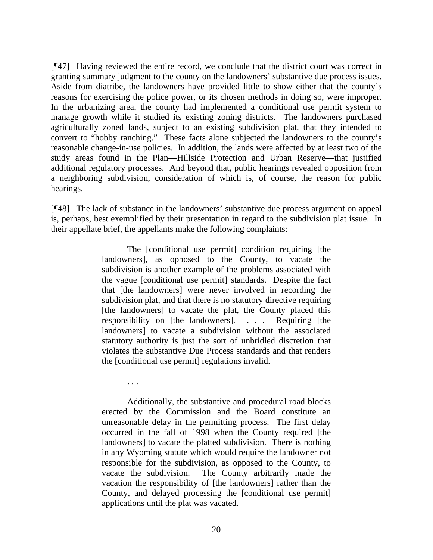[¶47] Having reviewed the entire record, we conclude that the district court was correct in granting summary judgment to the county on the landowners' substantive due process issues. Aside from diatribe, the landowners have provided little to show either that the county's reasons for exercising the police power, or its chosen methods in doing so, were improper. In the urbanizing area, the county had implemented a conditional use permit system to manage growth while it studied its existing zoning districts. The landowners purchased agriculturally zoned lands, subject to an existing subdivision plat, that they intended to convert to "hobby ranching." These facts alone subjected the landowners to the county's reasonable change-in-use policies. In addition, the lands were affected by at least two of the study areas found in the Plan—Hillside Protection and Urban Reserve—that justified additional regulatory processes. And beyond that, public hearings revealed opposition from a neighboring subdivision, consideration of which is, of course, the reason for public hearings.

[¶48] The lack of substance in the landowners' substantive due process argument on appeal is, perhaps, best exemplified by their presentation in regard to the subdivision plat issue. In their appellate brief, the appellants make the following complaints:

> The [conditional use permit] condition requiring [the landowners], as opposed to the County, to vacate the subdivision is another example of the problems associated with the vague [conditional use permit] standards. Despite the fact that [the landowners] were never involved in recording the subdivision plat, and that there is no statutory directive requiring [the landowners] to vacate the plat, the County placed this responsibility on [the landowners]. . . . Requiring [the landowners] to vacate a subdivision without the associated statutory authority is just the sort of unbridled discretion that violates the substantive Due Process standards and that renders the [conditional use permit] regulations invalid.

Additionally, the substantive and procedural road blocks erected by the Commission and the Board constitute an unreasonable delay in the permitting process. The first delay occurred in the fall of 1998 when the County required [the landowners] to vacate the platted subdivision. There is nothing in any Wyoming statute which would require the landowner not responsible for the subdivision, as opposed to the County, to vacate the subdivision. The County arbitrarily made the vacation the responsibility of [the landowners] rather than the County, and delayed processing the [conditional use permit] applications until the plat was vacated.

. . .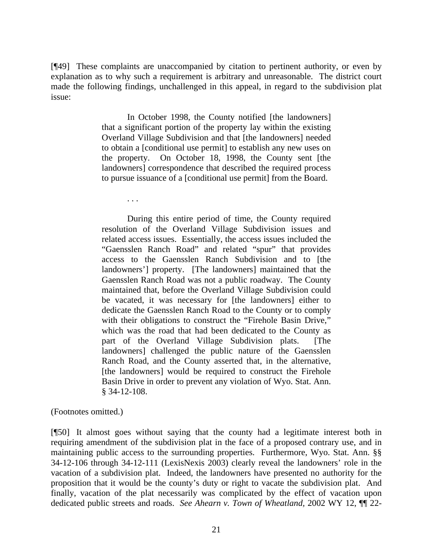[¶49] These complaints are unaccompanied by citation to pertinent authority, or even by explanation as to why such a requirement is arbitrary and unreasonable. The district court made the following findings, unchallenged in this appeal, in regard to the subdivision plat issue:

> In October 1998, the County notified [the landowners] that a significant portion of the property lay within the existing Overland Village Subdivision and that [the landowners] needed to obtain a [conditional use permit] to establish any new uses on the property. On October 18, 1998, the County sent [the landowners] correspondence that described the required process to pursue issuance of a [conditional use permit] from the Board.

> > . . .

During this entire period of time, the County required resolution of the Overland Village Subdivision issues and related access issues. Essentially, the access issues included the "Gaensslen Ranch Road" and related "spur" that provides access to the Gaensslen Ranch Subdivision and to [the landowners'] property. [The landowners] maintained that the Gaensslen Ranch Road was not a public roadway. The County maintained that, before the Overland Village Subdivision could be vacated, it was necessary for [the landowners] either to dedicate the Gaensslen Ranch Road to the County or to comply with their obligations to construct the "Firehole Basin Drive," which was the road that had been dedicated to the County as part of the Overland Village Subdivision plats. [The landowners] challenged the public nature of the Gaensslen Ranch Road, and the County asserted that, in the alternative, [the landowners] would be required to construct the Firehole Basin Drive in order to prevent any violation of Wyo. Stat. Ann. § 34-12-108.

(Footnotes omitted.)

[¶50] It almost goes without saying that the county had a legitimate interest both in requiring amendment of the subdivision plat in the face of a proposed contrary use, and in maintaining public access to the surrounding properties. Furthermore, Wyo. Stat. Ann. §§ 34-12-106 through 34-12-111 (LexisNexis 2003) clearly reveal the landowners' role in the vacation of a subdivision plat. Indeed, the landowners have presented no authority for the proposition that it would be the county's duty or right to vacate the subdivision plat. And finally, vacation of the plat necessarily was complicated by the effect of vacation upon dedicated public streets and roads. *See Ahearn v. Town of Wheatland,* 2002 WY 12, ¶¶ 22-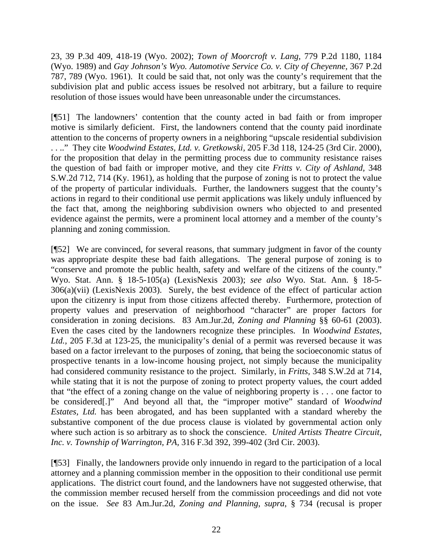23, 39 P.3d 409, 418-19 (Wyo. 2002); *Town of Moorcroft v. Lang,* 779 P.2d 1180, 1184 (Wyo. 1989) and *Gay Johnson's Wyo. Automotive Service Co. v. City of Cheyenne,* 367 P.2d 787, 789 (Wyo. 1961). It could be said that, not only was the county's requirement that the subdivision plat and public access issues be resolved not arbitrary, but a failure to require resolution of those issues would have been unreasonable under the circumstances.

[¶51] The landowners' contention that the county acted in bad faith or from improper motive is similarly deficient. First, the landowners contend that the county paid inordinate attention to the concerns of property owners in a neighboring "upscale residential subdivision . . .." They cite *Woodwind Estates, Ltd. v. Gretkowski,* 205 F.3d 118, 124-25 (3rd Cir. 2000), for the proposition that delay in the permitting process due to community resistance raises the question of bad faith or improper motive, and they cite *Fritts v. City of Ashland,* 348 S.W.2d 712, 714 (Ky. 1961), as holding that the purpose of zoning is not to protect the value of the property of particular individuals. Further, the landowners suggest that the county's actions in regard to their conditional use permit applications was likely unduly influenced by the fact that, among the neighboring subdivision owners who objected to and presented evidence against the permits, were a prominent local attorney and a member of the county's planning and zoning commission.

[¶52] We are convinced, for several reasons, that summary judgment in favor of the county was appropriate despite these bad faith allegations. The general purpose of zoning is to "conserve and promote the public health, safety and welfare of the citizens of the county." Wyo. Stat. Ann. § 18-5-105(a) (LexisNexis 2003); *see also* Wyo. Stat. Ann. § 18-5- 306(a)(vii) (LexisNexis 2003). Surely, the best evidence of the effect of particular action upon the citizenry is input from those citizens affected thereby. Furthermore, protection of property values and preservation of neighborhood "character" are proper factors for consideration in zoning decisions. 83 Am.Jur.2d, *Zoning and Planning* §§ 60-61 (2003). Even the cases cited by the landowners recognize these principles. In *Woodwind Estates, Ltd.,* 205 F.3d at 123-25, the municipality's denial of a permit was reversed because it was based on a factor irrelevant to the purposes of zoning, that being the socioeconomic status of prospective tenants in a low-income housing project, not simply because the municipality had considered community resistance to the project. Similarly, in *Fritts,* 348 S.W.2d at 714, while stating that it is not the purpose of zoning to protect property values, the court added that "the effect of a zoning change on the value of neighboring property is . . . one factor to be considered[.]" And beyond all that, the "improper motive" standard of *Woodwind Estates, Ltd.* has been abrogated, and has been supplanted with a standard whereby the substantive component of the due process clause is violated by governmental action only where such action is so arbitrary as to shock the conscience. *United Artists Theatre Circuit, Inc. v. Township of Warrington, PA,* 316 F.3d 392, 399-402 (3rd Cir. 2003).

[¶53] Finally, the landowners provide only innuendo in regard to the participation of a local attorney and a planning commission member in the opposition to their conditional use permit applications. The district court found, and the landowners have not suggested otherwise, that the commission member recused herself from the commission proceedings and did not vote on the issue. *See* 83 Am.Jur.2d, *Zoning and Planning*, *supra*, § 734 (recusal is proper